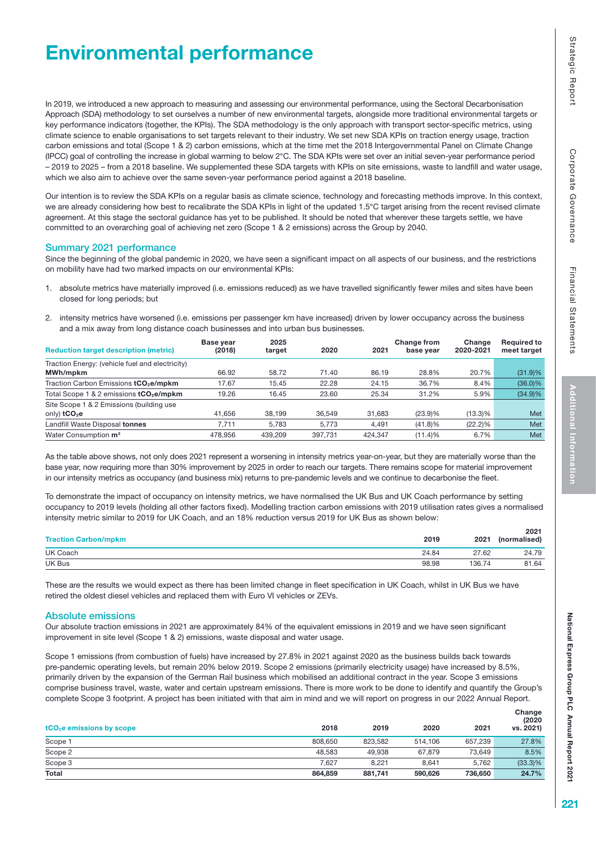# Environmental performance

In 2019, we introduced a new approach to measuring and assessing our environmental performance, using the Sectoral Decarbonisation Approach (SDA) methodology to set ourselves a number of new environmental targets, alongside more traditional environmental targets or key performance indicators (together, the KPIs). The SDA methodology is the only approach with transport sector-specific metrics, using climate science to enable organisations to set targets relevant to their industry. We set new SDA KPIs on traction energy usage, traction carbon emissions and total (Scope 1 & 2) carbon emissions, which at the time met the 2018 Intergovernmental Panel on Climate Change (IPCC) goal of controlling the increase in global warming to below 2°C. The SDA KPIs were set over an initial seven-year performance period – 2019 to 2025 – from a 2018 baseline. We supplemented these SDA targets with KPIs on site emissions, waste to landfill and water usage, which we also aim to achieve over the same seven-year performance period against a 2018 baseline.

Our intention is to review the SDA KPIs on a regular basis as climate science, technology and forecasting methods improve. In this context, we are already considering how best to recalibrate the SDA KPIs in light of the updated 1.5°C target arising from the recent revised climate agreement. At this stage the sectoral guidance has yet to be published. It should be noted that wherever these targets settle, we have committed to an overarching goal of achieving net zero (Scope 1 & 2 emissions) across the Group by 2040.

### Summary 2021 performance

Since the beginning of the global pandemic in 2020, we have seen a significant impact on all aspects of our business, and the restrictions on mobility have had two marked impacts on our environmental KPIs:

- 1. absolute metrics have materially improved (i.e. emissions reduced) as we have travelled significantly fewer miles and sites have been closed for long periods; but
- 2. intensity metrics have worsened (i.e. emissions per passenger km have increased) driven by lower occupancy across the business and a mix away from long distance coach businesses and into urban bus businesses.

| <b>Reduction target description (metric)</b>        | Base year<br>(2018) | 2025<br>target | 2020    | 2021    | <b>Change from</b><br>base year | Change<br>2020-2021 | <b>Required to</b><br>meet target |
|-----------------------------------------------------|---------------------|----------------|---------|---------|---------------------------------|---------------------|-----------------------------------|
| Traction Energy: (vehicle fuel and electricity)     |                     |                |         |         |                                 |                     |                                   |
| MWh/mpkm                                            | 66.92               | 58.72          | 71.40   | 86.19   | 28.8%                           | 20.7%               | (31.9)%                           |
| Traction Carbon Emissions tCO <sub>2</sub> e/mpkm   | 17.67               | 15.45          | 22.28   | 24.15   | 36.7%                           | 8.4%                | $(36.0)\%$                        |
| Total Scope 1 & 2 emissions tCO <sub>2</sub> e/mpkm | 19.26               | 16.45          | 23.60   | 25.34   | 31.2%                           | 5.9%                | $(34.9)\%$                        |
| Site Scope 1 & 2 Emissions (building use            |                     |                |         |         |                                 |                     |                                   |
| only) $tCO2e$                                       | 41.656              | 38.199         | 36.549  | 31.683  | (23.9)%                         | $(13.3)\%$          | Met                               |
| Landfill Waste Disposal tonnes                      | 7.711               | 5.783          | 5.773   | 4,491   | (41.8)%                         | $(22.2)\%$          | Met                               |
| Water Consumption m <sup>3</sup>                    | 478.956             | 439.209        | 397.731 | 424.347 | (11.4)%                         | 6.7%                | Met                               |

As the table above shows, not only does 2021 represent a worsening in intensity metrics year-on-year, but they are materially worse than the base year, now requiring more than 30% improvement by 2025 in order to reach our targets. There remains scope for material improvement in our intensity metrics as occupancy (and business mix) returns to pre-pandemic levels and we continue to decarbonise the fleet.

To demonstrate the impact of occupancy on intensity metrics, we have normalised the UK Bus and UK Coach performance by setting occupancy to 2019 levels (holding all other factors fixed). Modelling traction carbon emissions with 2019 utilisation rates gives a normalised intensity metric similar to 2019 for UK Coach, and an 18% reduction versus 2019 for UK Bus as shown below:

| <b>Traction Carbon/mpkm</b> | 2019  | 2021   | 2021<br>(normalised) |
|-----------------------------|-------|--------|----------------------|
| UK Coach                    | 24.84 | 27.62  | 24.79                |
| UK Bus                      | 98.98 | 136.74 | 81.64                |

These are the results we would expect as there has been limited change in fleet specification in UK Coach, whilst in UK Bus we have retired the oldest diesel vehicles and replaced them with Euro VI vehicles or ZEVs.

### Absolute emissions

Our absolute traction emissions in 2021 are approximately 84% of the equivalent emissions in 2019 and we have seen significant improvement in site level (Scope 1 & 2) emissions, waste disposal and water usage.

Scope 1 emissions (from combustion of fuels) have increased by 27.8% in 2021 against 2020 as the business builds back towards pre-pandemic operating levels, but remain 20% below 2019. Scope 2 emissions (primarily electricity usage) have increased by 8.5%, primarily driven by the expansion of the German Rail business which mobilised an additional contract in the year. Scope 3 emissions comprise business travel, waste, water and certain upstream emissions. There is more work to be done to identify and quantify the Group's complete Scope 3 footprint. A project has been initiated with that aim in mind and we will report on progress in our 2022 Annual Report.

| tCO <sub>2</sub> e emissions by scope | 2018    | 2019    | 2020    | 2021    | (2020)<br>vs. 2021) |
|---------------------------------------|---------|---------|---------|---------|---------------------|
| Scope 1                               | 808,650 | 823.582 | 514.106 | 657.239 | 27.8%               |
| Scope 2                               | 48.583  | 49.938  | 67.879  | 73.649  | 8.5%                |
| Scope 3                               | 7.627   | 8.221   | 8.641   | 5,762   | $(33.3)\%$          |
| Total                                 | 864,859 | 881,741 | 590,626 | 736.650 | 24.7%               |

**Change**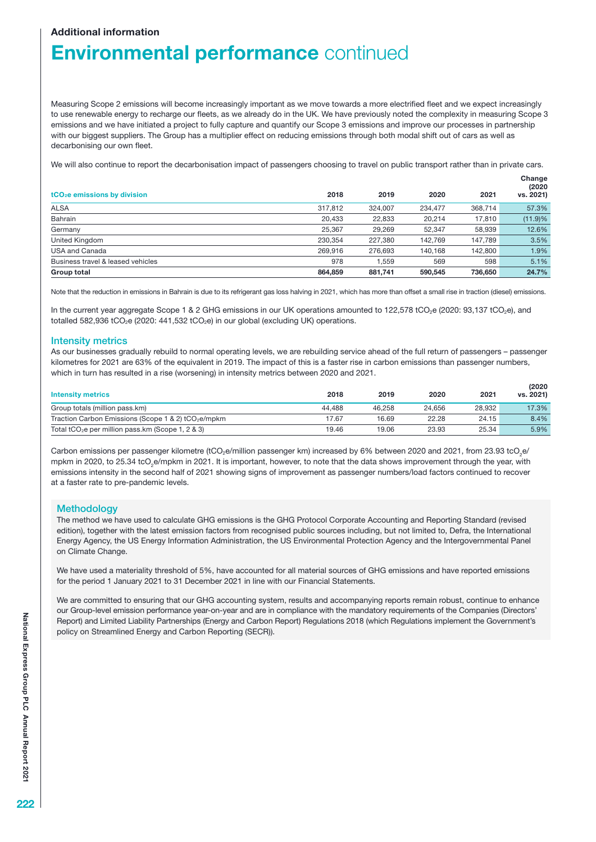### Additional information

# **Environmental performance continued**

Measuring Scope 2 emissions will become increasingly important as we move towards a more electrified fleet and we expect increasingly to use renewable energy to recharge our fleets, as we already do in the UK. We have previously noted the complexity in measuring Scope 3 emissions and we have initiated a project to fully capture and quantify our Scope 3 emissions and improve our processes in partnership with our biggest suppliers. The Group has a multiplier effect on reducing emissions through both modal shift out of cars as well as decarbonising our own fleet.

We will also continue to report the decarbonisation impact of passengers choosing to travel on public transport rather than in private cars.

| $tCO2e$ emissions by division     | 2018    | 2019    | 2020    | 2021    | Change<br>(2020)<br>vs. 2021) |
|-----------------------------------|---------|---------|---------|---------|-------------------------------|
| <b>ALSA</b>                       | 317,812 | 324.007 | 234.477 | 368.714 | 57.3%                         |
| Bahrain                           | 20.433  | 22,833  | 20.214  | 17,810  | (11.9)%                       |
| Germany                           | 25.367  | 29.269  | 52.347  | 58,939  | 12.6%                         |
| United Kingdom                    | 230.354 | 227.380 | 142.769 | 147.789 | 3.5%                          |
| <b>USA and Canada</b>             | 269.916 | 276.693 | 140.168 | 142.800 | 1.9%                          |
| Business travel & leased vehicles | 978     | 1.559   | 569     | 598     | 5.1%                          |
| Group total                       | 864.859 | 881.741 | 590,545 | 736,650 | 24.7%                         |

Note that the reduction in emissions in Bahrain is due to its refrigerant gas loss halving in 2021, which has more than offset a small rise in traction (diesel) emissions.

In the current year aggregate Scope 1 & 2 GHG emissions in our UK operations amounted to 122,578 tCO<sub>2</sub>e (2020: 93,137 tCO<sub>2</sub>e), and totalled 582,936 tCO<sub>2</sub>e (2020: 441,532 tCO<sub>2</sub>e) in our global (excluding UK) operations.

#### Intensity metrics

As our businesses gradually rebuild to normal operating levels, we are rebuilding service ahead of the full return of passengers – passenger kilometres for 2021 are 63% of the equivalent in 2019. The impact of this is a faster rise in carbon emissions than passenger numbers, which in turn has resulted in a rise (worsening) in intensity metrics between 2020 and 2021.

| <b>Intensity metrics</b>                                        | 2018   | 2019   | 2020   | 2021   | (2020)<br>vs. 2021) |
|-----------------------------------------------------------------|--------|--------|--------|--------|---------------------|
| Group totals (million pass.km)                                  | 44.488 | 46.258 | 24.656 | 28.932 | 17.3%               |
| Traction Carbon Emissions (Scope 1 & 2) tCO <sub>2</sub> e/mpkm | 17.67  | 16.69  | 22.28  | 24.15  | 8.4%                |
| Total tCO <sub>2</sub> e per million pass.km (Scope 1, 2 & 3)   | 19.46  | 19.06  | 23.93  | 25.34  | 5.9%                |

Carbon emissions per passenger kilometre (tCO<sub>2</sub>e/million passenger km) increased by 6% between 2020 and 2021, from 23.93 tcO<sub>2</sub>e/ mpkm in 2020, to 25.34 tcO<sub>2</sub>e/mpkm in 2021. It is important, however, to note that the data shows improvement through the year, with emissions intensity in the second half of 2021 showing signs of improvement as passenger numbers/load factors continued to recover at a faster rate to pre-pandemic levels.

#### **Methodology**

The method we have used to calculate GHG emissions is the GHG Protocol Corporate Accounting and Reporting Standard (revised edition), together with the latest emission factors from recognised public sources including, but not limited to, Defra, the International Energy Agency, the US Energy Information Administration, the US Environmental Protection Agency and the Intergovernmental Panel on Climate Change.

We have used a materiality threshold of 5%, have accounted for all material sources of GHG emissions and have reported emissions for the period 1 January 2021 to 31 December 2021 in line with our Financial Statements.

We are committed to ensuring that our GHG accounting system, results and accompanying reports remain robust, continue to enhance our Group-level emission performance year-on-year and are in compliance with the mandatory requirements of the Companies (Directors' Report) and Limited Liability Partnerships (Energy and Carbon Report) Regulations 2018 (which Regulations implement the Government's policy on Streamlined Energy and Carbon Reporting (SECR)).